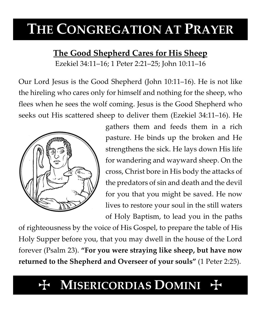# **THE CONGREGATION AT PRAYER**

### **The Good Shepherd Cares for His Sheep**

Ezekiel 34:11–16; 1 Peter 2:21–25; John 10:11–16

Our Lord Jesus is the Good Shepherd (John 10:11–16). He is not like the hireling who cares only for himself and nothing for the sheep, who flees when he sees the wolf coming. Jesus is the Good Shepherd who seeks out His scattered sheep to deliver them (Ezekiel 34:11–16). He



gathers them and feeds them in a rich pasture. He binds up the broken and He strengthens the sick. He lays down His life for wandering and wayward sheep. On the cross, Christ bore in His body the attacks of the predators of sin and death and the devil for you that you might be saved. He now lives to restore your soul in the still waters of Holy Baptism, to lead you in the paths

of righteousness by the voice of His Gospel, to prepare the table of His Holy Supper before you, that you may dwell in the house of the Lord forever (Psalm 23). **"For you were straying like sheep, but have now returned to the Shepherd and Overseer of your souls"** (1 Peter 2:25).

## **MISERICORDIAS DOMINI**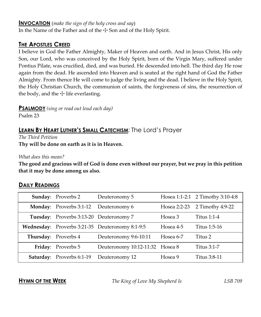#### **INVOCATION** (*make the sign of the holy cross and say*)

In the Name of the Father and of the  $\pm$  Son and of the Holy Spirit.

#### **THE APOSTLES CREED**

I believe in God the Father Almighty, Maker of Heaven and earth. And in Jesus Christ, His only Son, our Lord, who was conceived by the Holy Spirit, born of the Virgin Mary, suffered under Pontius Pilate, was crucified, died, and was buried. He descended into hell. The third day He rose again from the dead. He ascended into Heaven and is seated at the right hand of God the Father Almighty. From thence He will come to judge the living and the dead. I believe in the Holy Spirit, the Holy Christian Church, the communion of saints, the forgiveness of sins, the resurrection of the body, and the  $\pm$  life everlasting.

**PSALMODY** *(sing or read out loud each day)*

Psalm 23

#### **LEARN BY HEART LUTHER'S SMALL CATECHISM**: The Lord's Prayer

*The Third Petition* **Thy will be done on earth as it is in Heaven.**

*What does this mean?*

**The good and gracious will of God is done even without our prayer, but we pray in this petition that it may be done among us also.**

#### **DAILY READINGS**

| <b>Sunday:</b> Proverbs 2               | Deuteronomy 5                                   |           | Hosea 1:1-2:1 2 Timothy 3:10-4:8 |
|-----------------------------------------|-------------------------------------------------|-----------|----------------------------------|
| <b>Monday:</b> Proverbs 3:1-12          | Deuteronomy 6                                   |           | Hosea 2:2-23 2 Timothy 4:9-22    |
| Tuesday: Proverbs 3:13-20 Deuteronomy 7 |                                                 | Hosea 3   | Titus $1:1-4$                    |
|                                         | Wednesday: Proverbs 3:21-35 Deuteronomy 8:1-9:5 | Hosea 4-5 | Titus 1:5-16                     |
| Thursday: Proverbs 4                    | Deuteronomy 9:6-10:11                           | Hosea 6-7 | Titus 2                          |
| Friday: Proverbs 5                      | Deuteronomy 10:12-11:32 Hosea 8                 |           | Titus 3:1-7                      |
| <b>Saturday:</b> Proverbs 6:1-19        | Deuteronomy 12                                  | Hosea 9   | Titus 3:8-11                     |

**HYMN OF THE WEEK** *The King of Love My Shepherd Is LSB 709*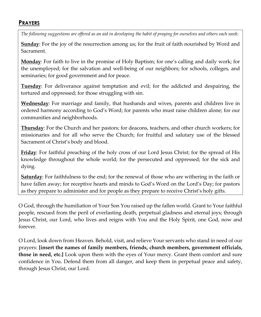#### **PRAYERS**

*The following suggestions are offered as an aid in developing the habit of praying for ourselves and others each week:*

**Sunday**: For the joy of the resurrection among us; for the fruit of faith nourished by Word and Sacrament.

**Monday**: For faith to live in the promise of Holy Baptism; for one's calling and daily work; for the unemployed; for the salvation and well-being of our neighbors; for schools, colleges, and seminaries; for good government and for peace.

**Tuesday**: For deliverance against temptation and evil; for the addicted and despairing, the tortured and oppressed; for those struggling with sin.

**Wednesday**: For marriage and family, that husbands and wives, parents and children live in ordered harmony according to God's Word; for parents who must raise children alone; for our communities and neighborhoods.

**Thursday**: For the Church and her pastors; for deacons, teachers, and other church workers; for missionaries and for all who serve the Church; for fruitful and salutary use of the blessed Sacrament of Christ's body and blood.

**Friday**: For faithful preaching of the holy cross of our Lord Jesus Christ; for the spread of His knowledge throughout the whole world; for the persecuted and oppressed; for the sick and dying.

**Saturday**: For faithfulness to the end; for the renewal of those who are withering in the faith or have fallen away; for receptive hearts and minds to God's Word on the Lord's Day; for pastors as they prepare to administer and for people as they prepare to receive Christ's holy gifts.

O God, through the humiliation of Your Son You raised up the fallen world. Grant to Your faithful people, rescued from the peril of everlasting death, perpetual gladness and eternal joys; through Jesus Christ, our Lord, who lives and reigns with You and the Holy Spirit, one God, now and forever.

O Lord, look down from Heaven. Behold, visit, and relieve Your servants who stand in need of our prayers: **[insert the names of family members, friends, church members, government officials, those in need, etc.]** Look upon them with the eyes of Your mercy. Grant them comfort and sure confidence in You. Defend them from all danger, and keep them in perpetual peace and safety, through Jesus Christ, our Lord.